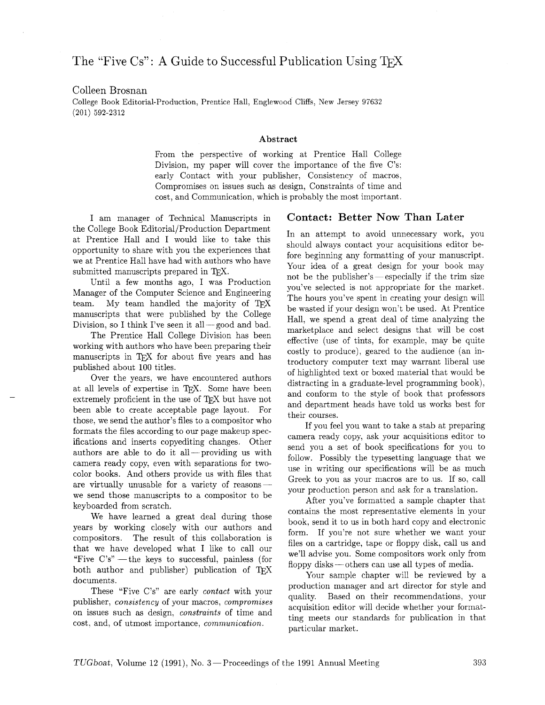# The "Five Cs": A Guide to Successful Publication Using T<sub>F</sub>X

### Colleen Brosnan

College Book Editorial-Production, Prentice Hall, Englewood Cliffs, New Jersey 97632 (201) 592-2312

#### **Abstract**

From the perspective of working at Prentice Hall College Division, my paper will cover the importance of the five C's: early Contact with your publisher, Consistency of macros, Compromises on issues such as design, Constraints of time and cost, and Communication, which is probably the most important.

I am manager of Technical Manuscripts in the College Book Editorial/Production Department at Prentice Hall and I would like to take this opportunity to share with you the experiences that we at Prentice Hall have had with authors who have submitted manuscripts prepared in TEX.

Until a few months ago, I was Production Manager of the Computer Science and Engineering<br>team. My team handled the majority of TEX manuscripts that were published by the College Division, so I think I've seen it all- $\equiv$  good and bad.

The Prentice Hall College Division has been working with authors who have been preparing their manuscripts in TFX for about five years and has published about 100 titles.

Over the years, we have encountered authors at all levels of expertise in TEX. Some have been extremely proficient in the use of T<sub>F</sub>X but have not been able to create acceptable page layout. For those. we send the author's files to a compositor who formats the files according to our page makeup specifications and inserts copyediting changes. Other authors are able to do it all ---providing us with camera ready copy, even with separations for twocolor books. And others provide us with files that are virtually unusable for a variety of reasonswe send those manuscripts to a compositor to be keyboarded from scratch.

We have learned a great deal during those years by working closely with our authors and compositors. The result of this collaboration is that we have developed what I like to call our "Five  $C's$ " — the keys to successful, painless (for both author and publisher) publication of TEX documents.

These "Five C's" are early *contact* with your publisher, *consistency* of your macros, *compromises*  on issues such as design, *constraints* of time and cost, and, of utmost importance, *communication.* 

#### **Contact: Better Now Than Later**

In an attempt to avoid unnecessary work, you should always contact your acquisitions editor before beginning any formatting of your manuscript. Your idea of a great design for your handscript.<br>
Nour idea of a great design for your book may<br>
not be the publisher's—especially if the trim size you've selected is not appropriate for the market. The hours you've spent in creating your design will be wasted if your design won't be used. At Prentice Hall. we spend a great deal of time analyzing the marketplace and select designs that will be cost effective (use of tints, for example, may be quite costly to produce), geared to the audience (an introductory computer text may warrant liberal use of highlighted text or boxed material that would be distracting in a graduate-level programming book), and conform to the style of book that professors and department heads have told us works best for their courses.

If you feel you want to take a stab at preparing camera ready copy, ask your acquisitions editor to send you a set of book specifications for you to follow. Possibly the typesetting language that we use in writing our specifications will be as much Greek to you as your macros are to us. If so, call your production person and ask for a translation.

After you've formatted a sample chapter that contains the most representative elements in your book, send it to us in both hard copy and electronic form. If you're not sure whether we want your files on a cartridge, tape or floppy disk, call us and we'll advise you. Some compositors work only from floppy disks-others can use all types of media.

Your sample chapter will be reviewed by a production manager and art director for style and quality. Based on their recommendations, your acquisition editor will decide whether your formatting meets our standards for publication in that particular market.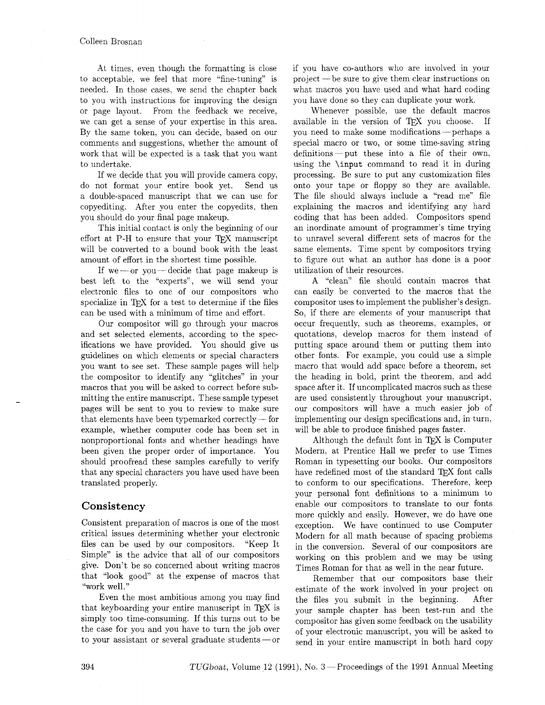At times. even though the formatting is close to acceptable, we feel that more "fine-tuning" is needed. In those cases. we send the chapter back to you with instructions for improving the design or page layout. From the feedback we receive, we can get a sense of your expertise in this area. By the same token, you can decide, based on our comments and suggestions. whether the amount of work that will be expected is a task that you want to undertake.

If we decide that you will provide camera copy, do not format your entire book yet. Send us a double-spaced manuscript that we can use for copyediting. After you enter the copyedits, then you should do your final page makeup.

This initial contact is only the beginning of our effort at  $P-H$  to ensure that your TFX manuscript will be converted to a bound book with the least amount of effort in the shortest time possible.

If we —or you — decide that page makeup is best left to the "experts", we will send your electronic files to one of our compositors who specialize in  $TrX$  for a test to determine if the files can be used with a minimum of time and effort.

Our compositor will go through your macros and set selected elements, according to the specifications we have provided. You should give us guidelines on which elements or special characters you want to see set. These sample pages will help the compositor to identify any "glitches" in your macros that you will be asked to correct before submitting the entire manuscript. These sample typeset muting the entire manuscript. These sample typeset<br>pages will be sent to you to review to make sure<br>that elements have been typemarked correctly — for example, whether computer code has been set in nonproportional fonts and whether headings have been given the proper order of importance. You should proofread these samples carefully to verify that any special characters you have used have been translated properly.

#### **Consistency**

Consistent preparation of macros is one of the most critical issues determining whether your electronic files can be used by our compositors. "Keep It Simple" is the advice that all of our compositors give. Don't be so concerned about writing macros that "look good" at the expense of macros that "work well."

Even the most ambitious among you may find that keyboarding your entire manuscript in TEX is simply too time-consuming. If this turns out to be the case for you and you have to turn the job over to your assistant or several graduate students  $-$  or if you have co-authors who are involved in your project -be sure to give them clear instructions on what macros you have used and what hard coding you have done so they can duplicate your work.

Whenever possible. use the default macros available in the version of TFX you choose. If you need to make some modifications-perhaps a special macro or two, or some time-saving string definitions-put these into a file of their own, using the \input command to read it in during processing. Be sure to put any customization files onto your tape or floppy so they are available. The file should always include a "read me" file explaining the macros and identifying any hard coding that has been added. Compositors spend an inordinate amount of programmer's time trying to unravel several different sets of macros for the same elements. Time spent by compositors trying to figure out what an author has done is a poor utilization of their resources.

A "clean" file should contain macros that can easily be converted to the macros that the compositor uses to implement the publisher's design. So, if there are elements of your manuscript that occur frequently, such as theorems. examples, or quotations, develop macros for them instead of putting space around them or putting them into other fonts. For example, you could use a simple macro that would add space before a theorem, set the heading in bold, print the theorem, and add space after it. If uncomplicated macros such as these are used consistently throughout your manuscript. our compositors will have a much easier job of implementing our design specifications and, in turn, will be able to produce finished pages faster.

Although the default font in TFX is Computer Modern, at Prentice Hall we prefer to use Times Roman in typesetting our books. Our compositors have redefined most of the standard TFX font calls to conform to our specifications. Therefore, keep your personal font definitions to a minimum to enable our compositors to translate to our fonts more quickly and easily. However, we do have one exception. We have continued to use Computer Modern for all math because of spacing problems in the conversion. Several of our compositors are working on this problem and we may be using Times Roman for that as well in the near future.

Remember that our compositors base their estimate of the work involved in your project on the files you submit in the beginning. After your sample chapter has been test-run and the compositor has given some feedback on the usability of your electronic manuscript, you will be asked to send in your entire manuscript in both hard copy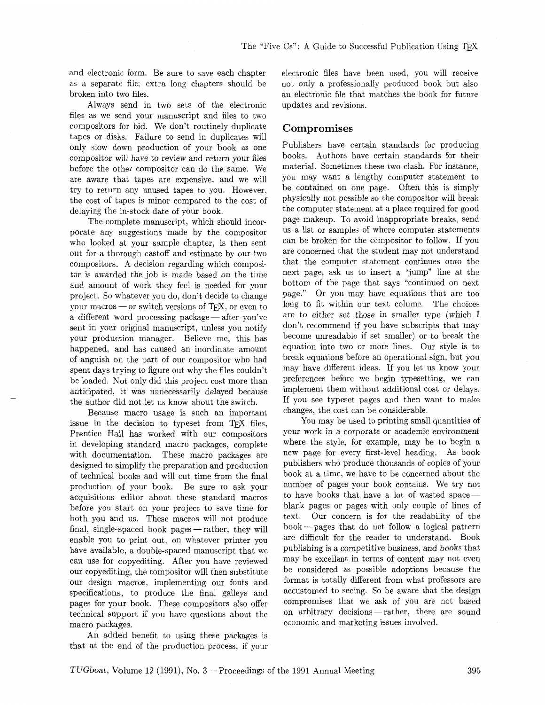and electronic form. Be sure to save each chapter as a separate file; extra long chapters should be broken into two files.

Always send in two sets of the electronic files as we send your manuscript and files to two compositors for bid. We don't routinely duplicate tapes or disks. Failure to send in duplicates will only slow down production of your book as one compositor will have to review and return your files before the other compositor can do the same. We are aware that tapes are expensive, and we will try to return any unused tapes to you. However, the cost of tapes is minor compared to the cost of delaying the in-stock date of your book.

The complete manuscript, which should incorporate any suggestions made by the compositor who looked at your sample chapter, is then sent out for a thorough castoff and estimate by our two compositors. A decision regarding which compositor is awarded the job is made based on the time and amount of work they feel is needed for your project. So whatever you do, don't decide to change project. So whatever you do, don't decide to change<br>your macros — or switch versions of T<sub>E</sub>X, or even to<br>a different word processing package — after you've sent in your original manuscript, unless you notify your production manager. Believe me, this has happened, and has caused an inordinate amount of anguish on the part of our compositor who had spent days trying to figure out why the files couldn't be loaded. Not only did this project cost more than anticipated, it was unnecessarily delayed because the author did not let us know about the switch.

Because macro usage is such an important issue in the decision to typeset from TEX files, Prentice Hall has worked with our compositors in developing standard macro packages, complete with documentation. These macro packages are designed to simplify the preparation and production of technical books and will cut time from the final production of your book. Be sure to ask your acquisitions editor about these standard macros before you start on your project to save time for before you start on your project to save time for<br>both you and us. These macros will not produce<br>inal, single-spaced book pages — rather, they will enable you to print out, on whatever printer you have available, a double-spaced manuscript that we can use for copyediting. After you have reviewed our copyediting, the compositor will then substitute our design macros, implementing our fonts and specifications, to produce the final galleys and pages for your book. These compositors also offer technical support if you have questions about the macro packages.

An added benefit to using these packages is that at the end of the production process, if your electronic files have been used, you will receive not only a professionalIy produced book but also an electronic file that matches the book for future updates and revisions.

#### Compromises

Publishers have certain standards for producing books. Authors have certain standards for their material. Sometimes these two clash. For instance, you may want a lengthy computer statement to be contained on one page. Often this is simply physically not possible so the compositor will break the computer statement at a place required for good page makeup. To avoid inappropriate breaks, send us a list or samples of where computer statements can be broken for the compositor to follow. If you are concerned that the student may not understand that the computer statement continues onto the next page, ask us to insert a "jump" line at the bottom of the page that says "continued on next page." Or you may have equations that are too long to fit within our text column. The choices are to either set those in smaller type (which I don't recommend if you have subscripts that may become unreadable if set smaller) or to break the equation into two or more lines. Our style is to break equations before an operational sign, but you may have different ideas. If you let us know your preferences before we begin typesetting, we can implement them without additional cost or delays. If you see typeset pages and then want to make changes, the cost can be considerable.

You may be used to printing small quantities of your work in a corporate or academic environment where the style, for example, may be to begin a new page for every first-level heading. As book publishers who produce thousands of copies of your book at a time, we have to be concerned about the number of pages your book contains. We try not to have books that have a lot of wasted space blank pages or pages with only couple of lines of text. Our concern is for the readability of the book-pages that do not follow a logical pattern are difficult for the reader to understand. Book publishing is a competitive business, and books that may be excellent in terms of content may not even be considered as possible adoptions because the format is totally different from what professors are accustomed to seeing. So be aware that the design compromises that we ask of you are not based on arbitrary decisions - rather, there are sound economic and marketing issues involved.